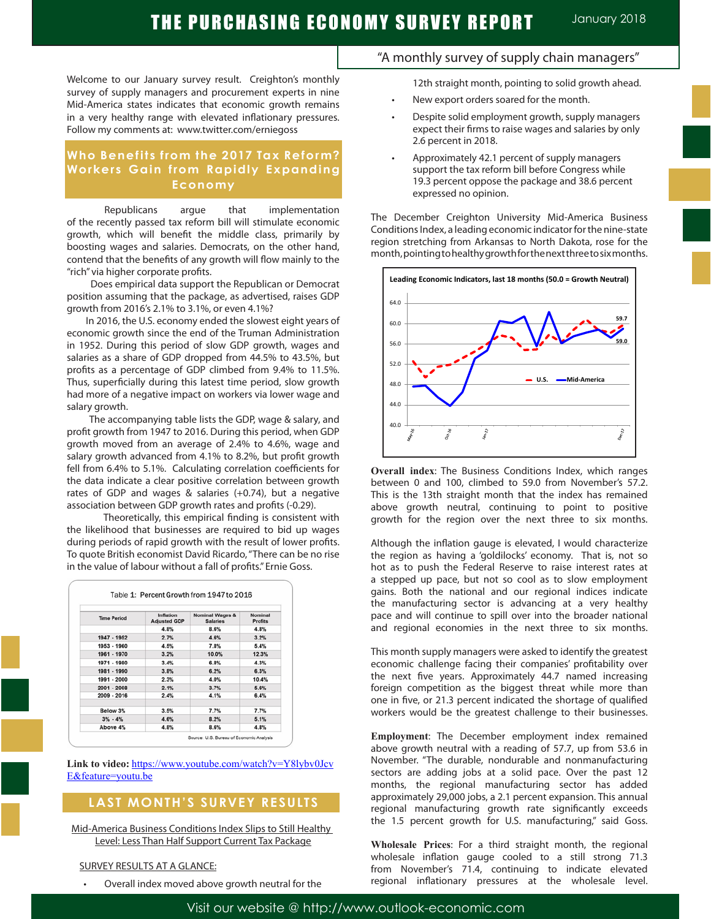Welcome to our January survey result. Creighton's monthly survey of supply managers and procurement experts in nine Mid-America states indicates that economic growth remains in a very healthy range with elevated inflationary pressures. Follow my comments at: www.twitter.com/erniegoss

## **Who Benefits from the 2017 Tax Reform? Workers Gain from Rapidly Expanding Economy**

Republicans argue that implementation of the recently passed tax reform bill will stimulate economic growth, which will benefit the middle class, primarily by boosting wages and salaries. Democrats, on the other hand, contend that the benefits of any growth will flow mainly to the "rich" via higher corporate profits.

 Does empirical data support the Republican or Democrat position assuming that the package, as advertised, raises GDP growth from 2016's 2.1% to 3.1%, or even 4.1%?

 In 2016, the U.S. economy ended the slowest eight years of economic growth since the end of the Truman Administration in 1952. During this period of slow GDP growth, wages and salaries as a share of GDP dropped from 44.5% to 43.5%, but profits as a percentage of GDP climbed from 9.4% to 11.5%. Thus, superficially during this latest time period, slow growth had more of a negative impact on workers via lower wage and salary growth.

 The accompanying table lists the GDP, wage & salary, and profit growth from 1947 to 2016. During this period, when GDP growth moved from an average of 2.4% to 4.6%, wage and salary growth advanced from 4.1% to 8.2%, but profit growth fell from 6.4% to 5.1%. Calculating correlation coefficients for the data indicate a clear positive correlation between growth rates of GDP and wages & salaries (+0.74), but a negative association between GDP growth rates and profits (-0.29).

 Theoretically, this empirical finding is consistent with the likelihood that businesses are required to bid up wages during periods of rapid growth with the result of lower profits. To quote British economist David Ricardo, "There can be no rise in the value of labour without a fall of profits." Ernie Goss.

| <b>Time Period</b> | Inflation<br><b>Adjusted GDP</b> | <b>Nominal Wages &amp;</b><br><b>Salaries</b> | Nominal<br><b>Profits</b> |
|--------------------|----------------------------------|-----------------------------------------------|---------------------------|
|                    | 4.8%                             | 8.6%                                          | 4.8%                      |
| 1947 - 1952        | 2.7%                             | 4.6%                                          | 3.2%                      |
| 1953 - 1960        | 4.5%                             | 7.8%                                          | 5.4%                      |
| 1961 - 1970        | 3.2%                             | 10.0%                                         | 12.3%                     |
| 1971 - 1980        | 3.4%                             | 6.8%                                          | 4.3%                      |
| 1981 - 1990        | 3.8%                             | 6.2%                                          | 6.3%                      |
| 1991 - 2000        | 2.3%                             | 4.0%                                          | 10.4%                     |
| $2001 - 2008$      | 2.1%                             | 3.7%                                          | 5.6%                      |
| $2009 - 2016$      | 2.4%                             | 4.1%                                          | 6.4%                      |
| Below 3%           | 3.5%                             | 7.7%                                          | 7.7%                      |
| $3\% - 4\%$        | 4.6%                             | 8.2%                                          | 5.1%                      |
| Above 4%           | 4.8%                             | 8.6%                                          | 4.8%                      |

Link to video: https://www.youtube.com/watch?v=Y8lybv0Jcv E&feature=youtu.be

## **LAST MONTH'S SURVEY RESULTS**

Mid-America Business Conditions Index Slips to Still Healthy Level: Less Than Half Support Current Tax Package

## SURVEY RESULTS AT A GLANCE:

Overall index moved above growth neutral for the

## "A monthly survey of supply chain managers"

12th straight month, pointing to solid growth ahead.

- New export orders soared for the month.
- Despite solid employment growth, supply managers expect their firms to raise wages and salaries by only 2.6 percent in 2018.
- Approximately 42.1 percent of supply managers support the tax reform bill before Congress while 19.3 percent oppose the package and 38.6 percent expressed no opinion.

The December Creighton University Mid-America Business Conditions Index, a leading economic indicator for the nine-state region stretching from Arkansas to North Dakota, rose for the month, pointing to healthy growth for the next three to six months.



**Overall index**: The Business Conditions Index, which ranges between 0 and 100, climbed to 59.0 from November's 57.2. This is the 13th straight month that the index has remained above growth neutral, continuing to point to positive growth for the region over the next three to six months.

Although the inflation gauge is elevated, I would characterize the region as having a 'goldilocks' economy. That is, not so hot as to push the Federal Reserve to raise interest rates at a stepped up pace, but not so cool as to slow employment gains. Both the national and our regional indices indicate the manufacturing sector is advancing at a very healthy pace and will continue to spill over into the broader national and regional economies in the next three to six months.

This month supply managers were asked to identify the greatest economic challenge facing their companies' profitability over the next five years. Approximately 44.7 named increasing foreign competition as the biggest threat while more than one in five, or 21.3 percent indicated the shortage of qualified workers would be the greatest challenge to their businesses.

**Employment**: The December employment index remained above growth neutral with a reading of 57.7, up from 53.6 in November. "The durable, nondurable and nonmanufacturing sectors are adding jobs at a solid pace. Over the past 12 months, the regional manufacturing sector has added approximately 29,000 jobs, a 2.1 percent expansion. This annual regional manufacturing growth rate significantly exceeds the 1.5 percent growth for U.S. manufacturing," said Goss.

**Wholesale Prices**: For a third straight month, the regional wholesale inflation gauge cooled to a still strong 71.3 from November's 71.4, continuing to indicate elevated regional inflationary pressures at the wholesale level.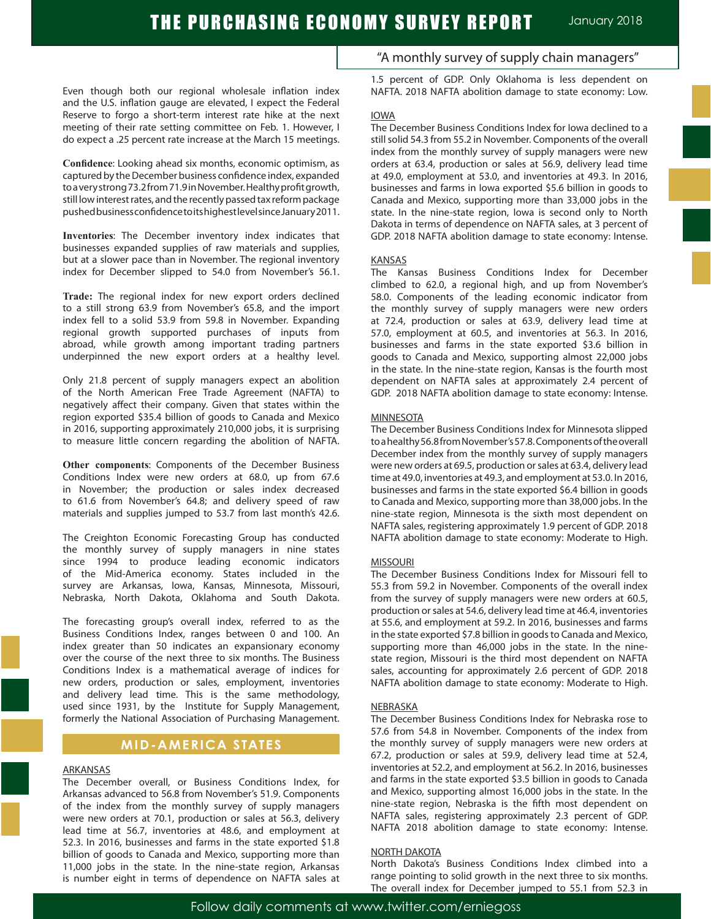Even though both our regional wholesale inflation index and the U.S. inflation gauge are elevated, I expect the Federal Reserve to forgo a short-term interest rate hike at the next meeting of their rate setting committee on Feb. 1. However, I do expect a .25 percent rate increase at the March 15 meetings.

**Confidence**: Looking ahead six months, economic optimism, as captured by the December business confidence index, expanded to a very strong 73.2 from 71.9 in November. Healthy profit growth, still low interest rates, and the recently passed tax reform package pushed business confidence to its highest level since January 2011.

**Inventories**: The December inventory index indicates that businesses expanded supplies of raw materials and supplies, but at a slower pace than in November. The regional inventory index for December slipped to 54.0 from November's 56.1.

**Trade:** The regional index for new export orders declined to a still strong 63.9 from November's 65.8, and the import index fell to a solid 53.9 from 59.8 in November. Expanding regional growth supported purchases of inputs from abroad, while growth among important trading partners underpinned the new export orders at a healthy level.

Only 21.8 percent of supply managers expect an abolition of the North American Free Trade Agreement (NAFTA) to negatively affect their company. Given that states within the region exported \$35.4 billion of goods to Canada and Mexico in 2016, supporting approximately 210,000 jobs, it is surprising to measure little concern regarding the abolition of NAFTA.

**Other components**: Components of the December Business Conditions Index were new orders at 68.0, up from 67.6 in November; the production or sales index decreased to 61.6 from November's 64.8; and delivery speed of raw materials and supplies jumped to 53.7 from last month's 42.6.

The Creighton Economic Forecasting Group has conducted the monthly survey of supply managers in nine states since 1994 to produce leading economic indicators of the Mid-America economy. States included in the survey are Arkansas, Iowa, Kansas, Minnesota, Missouri, Nebraska, North Dakota, Oklahoma and South Dakota.

The forecasting group's overall index, referred to as the Business Conditions Index, ranges between 0 and 100. An index greater than 50 indicates an expansionary economy over the course of the next three to six months. The Business Conditions Index is a mathematical average of indices for new orders, production or sales, employment, inventories and delivery lead time. This is the same methodology, used since 1931, by the Institute for Supply Management, formerly the National Association of Purchasing Management.

## **MID-AMERICA STATES**

## ARKANSAS

The December overall, or Business Conditions Index, for Arkansas advanced to 56.8 from November's 51.9. Components of the index from the monthly survey of supply managers were new orders at 70.1, production or sales at 56.3, delivery lead time at 56.7, inventories at 48.6, and employment at 52.3. In 2016, businesses and farms in the state exported \$1.8 billion of goods to Canada and Mexico, supporting more than 11,000 jobs in the state. In the nine-state region, Arkansas is number eight in terms of dependence on NAFTA sales at "A monthly survey of supply chain managers"

1.5 percent of GDP. Only Oklahoma is less dependent on NAFTA. 2018 NAFTA abolition damage to state economy: Low.

### IOWA

The December Business Conditions Index for Iowa declined to a still solid 54.3 from 55.2 in November. Components of the overall index from the monthly survey of supply managers were new orders at 63.4, production or sales at 56.9, delivery lead time at 49.0, employment at 53.0, and inventories at 49.3. In 2016, businesses and farms in Iowa exported \$5.6 billion in goods to Canada and Mexico, supporting more than 33,000 jobs in the state. In the nine-state region, Iowa is second only to North Dakota in terms of dependence on NAFTA sales, at 3 percent of GDP. 2018 NAFTA abolition damage to state economy: Intense.

## KANSAS

The Kansas Business Conditions Index for December climbed to 62.0, a regional high, and up from November's 58.0. Components of the leading economic indicator from the monthly survey of supply managers were new orders at 72.4, production or sales at 63.9, delivery lead time at 57.0, employment at 60.5, and inventories at 56.3. In 2016, businesses and farms in the state exported \$3.6 billion in goods to Canada and Mexico, supporting almost 22,000 jobs in the state. In the nine-state region, Kansas is the fourth most dependent on NAFTA sales at approximately 2.4 percent of GDP. 2018 NAFTA abolition damage to state economy: Intense.

### **MINNESOTA**

The December Business Conditions Index for Minnesota slipped to a healthy 56.8 from November's 57.8. Components of the overall December index from the monthly survey of supply managers were new orders at 69.5, production or sales at 63.4, delivery lead time at 49.0, inventories at 49.3, and employment at 53.0. In 2016, businesses and farms in the state exported \$6.4 billion in goods to Canada and Mexico, supporting more than 38,000 jobs. In the nine-state region, Minnesota is the sixth most dependent on NAFTA sales, registering approximately 1.9 percent of GDP. 2018 NAFTA abolition damage to state economy: Moderate to High.

#### **MISSOURI**

The December Business Conditions Index for Missouri fell to 55.3 from 59.2 in November. Components of the overall index from the survey of supply managers were new orders at 60.5, production or sales at 54.6, delivery lead time at 46.4, inventories at 55.6, and employment at 59.2. In 2016, businesses and farms in the state exported \$7.8 billion in goods to Canada and Mexico, supporting more than 46,000 jobs in the state. In the ninestate region, Missouri is the third most dependent on NAFTA sales, accounting for approximately 2.6 percent of GDP. 2018 NAFTA abolition damage to state economy: Moderate to High.

#### NEBRASKA

The December Business Conditions Index for Nebraska rose to 57.6 from 54.8 in November. Components of the index from the monthly survey of supply managers were new orders at 67.2, production or sales at 59.9, delivery lead time at 52.4, inventories at 52.2, and employment at 56.2. In 2016, businesses and farms in the state exported \$3.5 billion in goods to Canada and Mexico, supporting almost 16,000 jobs in the state. In the nine-state region, Nebraska is the fifth most dependent on NAFTA sales, registering approximately 2.3 percent of GDP. NAFTA 2018 abolition damage to state economy: Intense.

## NORTH DAKOTA

North Dakota's Business Conditions Index climbed into a range pointing to solid growth in the next three to six months. The overall index for December jumped to 55.1 from 52.3 in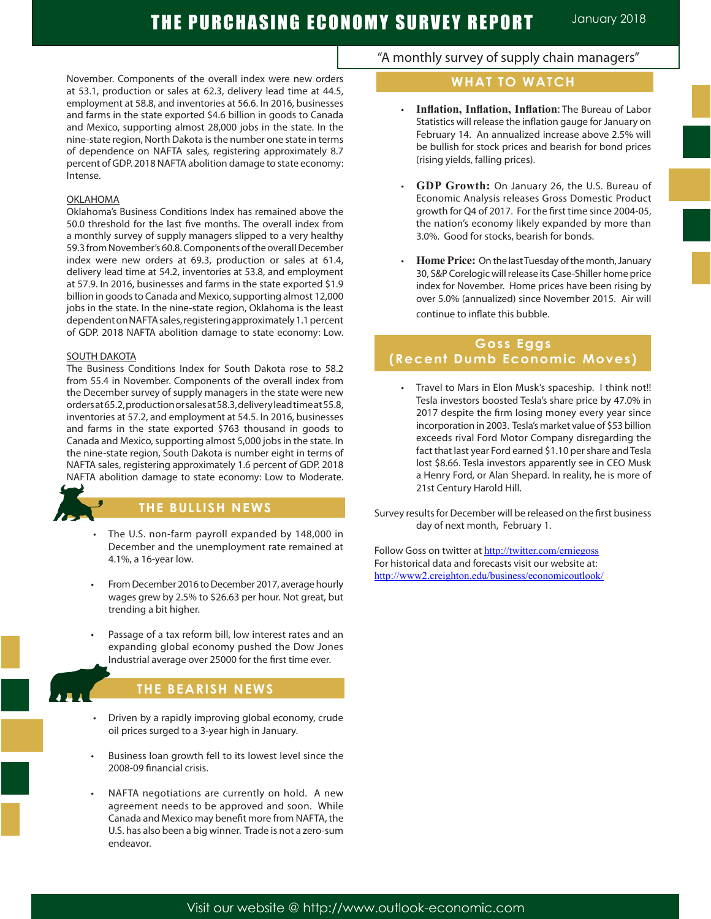ľ

November. Components of the overall index were new orders at 53.1, production or sales at 62.3, delivery lead time at 44.5, employment at 58.8, and inventories at 56.6. In 2016, businesses and farms in the state exported \$4.6 billion in goods to Canada and Mexico, supporting almost 28,000 jobs in the state. In the nine-state region, North Dakota is the number one state in terms of dependence on NAFTA sales, registering approximately 8.7 percent of GDP. 2018 NAFTA abolition damage to state economy: Intense.

## OKLAHOMA

Oklahoma's Business Conditions Index has remained above the 50.0 threshold for the last five months. The overall index from a monthly survey of supply managers slipped to a very healthy 59.3 from November's 60.8. Components of the overall December index were new orders at 69.3, production or sales at 61.4, delivery lead time at 54.2, inventories at 53.8, and employment at 57.9. In 2016, businesses and farms in the state exported \$1.9 billion in goods to Canada and Mexico, supporting almost 12,000 jobs in the state. In the nine-state region, Oklahoma is the least dependent on NAFTA sales, registering approximately 1.1 percent of GDP. 2018 NAFTA abolition damage to state economy: Low.

## SOUTH DAKOTA

The Business Conditions Index for South Dakota rose to 58.2 from 55.4 in November. Components of the overall index from the December survey of supply managers in the state were new orders at 65.2, production or sales at 58.3, delivery lead time at 55.8, inventories at 57.2, and employment at 54.5. In 2016, businesses and farms in the state exported \$763 thousand in goods to Canada and Mexico, supporting almost 5,000 jobs in the state. In the nine-state region, South Dakota is number eight in terms of NAFTA sales, registering approximately 1.6 percent of GDP. 2018 NAFTA abolition damage to state economy: Low to Moderate.



## **THE BULLISH NEWS**

- The U.S. non-farm payroll expanded by 148,000 in December and the unemployment rate remained at 4.1%, a 16-year low.
- From December 2016 to December 2017, average hourly wages grew by 2.5% to \$26.63 per hour. Not great, but trending a bit higher.
- Passage of a tax reform bill, low interest rates and an expanding global economy pushed the Dow Jones Industrial average over 25000 for the first time ever.



# **THE BEARISH NEWS**

- Driven by a rapidly improving global economy, crude oil prices surged to a 3-year high in January.
- Business loan growth fell to its lowest level since the 2008-09 financial crisis.
- NAFTA negotiations are currently on hold. A new agreement needs to be approved and soon. While Canada and Mexico may benefit more from NAFTA, the U.S. has also been a big winner. Trade is not a zero-sum endeavor.

# "A monthly survey of supply chain managers"

# **WHAT TO WATCH**

- Inflation, Inflation, Inflation: The Bureau of Labor Statistics will release the inflation gauge for January on February 14. An annualized increase above 2.5% will be bullish for stock prices and bearish for bond prices (rising yields, falling prices).
- • **GDP Growth:** On January 26, the U.S. Bureau of Economic Analysis releases Gross Domestic Product growth for Q4 of 2017. For the first time since 2004-05, the nation's economy likely expanded by more than 3.0%. Good for stocks, bearish for bonds.
- **Home Price:** On the last Tuesday of the month, January 30, S&P Corelogic will release its Case-Shiller home price index for November. Home prices have been rising by over 5.0% (annualized) since November 2015. Air will continue to inflate this bubble.

# **Goss Eggs (Recent Dumb Economic Moves)**

Travel to Mars in Elon Musk's spaceship. I think not!! Tesla investors boosted Tesla's share price by 47.0% in 2017 despite the firm losing money every year since incorporation in 2003. Tesla's market value of \$53 billion exceeds rival Ford Motor Company disregarding the fact that last year Ford earned \$1.10 per share and Tesla lost \$8.66. Tesla investors apparently see in CEO Musk a Henry Ford, or Alan Shepard. In reality, he is more of 21st Century Harold Hill.

Survey results for December will be released on the first business day of next month, February 1.

Follow Goss on twitter at http://twitter.com/erniegoss For historical data and forecasts visit our website at: http://www2.creighton.edu/business/economicoutlook/